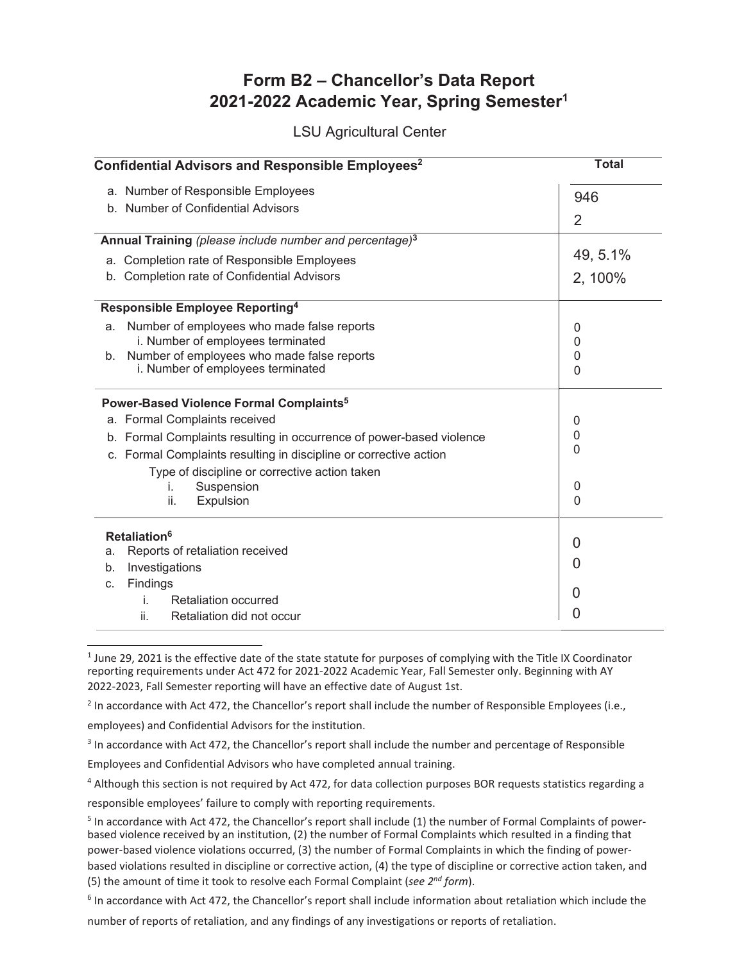## Form B2 - Chancellor's Data Report 2021-2022 Academic Year, Spring Semester<sup>1</sup>

**LSU Agricultural Center** 

| Confidential Advisors and Responsible Employees <sup>2</sup> | <b>Total</b>                                                                                                                                                       |                         |
|--------------------------------------------------------------|--------------------------------------------------------------------------------------------------------------------------------------------------------------------|-------------------------|
|                                                              | a. Number of Responsible Employees                                                                                                                                 | 946                     |
|                                                              | b. Number of Confidential Advisors                                                                                                                                 | $\overline{2}$          |
|                                                              |                                                                                                                                                                    |                         |
|                                                              | Annual Training (please include number and percentage) <sup>3</sup><br>a. Completion rate of Responsible Employees                                                 | 49, 5.1%                |
|                                                              | b. Completion rate of Confidential Advisors                                                                                                                        | 2, 100%                 |
| Responsible Employee Reporting <sup>4</sup>                  |                                                                                                                                                                    |                         |
| a.<br>b.                                                     | Number of employees who made false reports<br>i. Number of employees terminated<br>Number of employees who made false reports<br>i. Number of employees terminated | 0<br>0<br>0<br>$\Omega$ |
|                                                              | Power-Based Violence Formal Complaints <sup>5</sup>                                                                                                                |                         |
|                                                              | a. Formal Complaints received                                                                                                                                      | 0                       |
|                                                              | b. Formal Complaints resulting in occurrence of power-based violence                                                                                               | $\mathbf{0}$            |
|                                                              | c. Formal Complaints resulting in discipline or corrective action                                                                                                  | 0                       |
|                                                              | Type of discipline or corrective action taken                                                                                                                      |                         |
|                                                              | Suspension<br>İ.                                                                                                                                                   | 0                       |
|                                                              | ii.<br>Expulsion                                                                                                                                                   | $\Omega$                |
| Retaliation <sup>6</sup>                                     |                                                                                                                                                                    |                         |
| a.                                                           | Reports of retaliation received                                                                                                                                    | 0                       |
| b.                                                           | 0                                                                                                                                                                  |                         |
| C.                                                           | Findings                                                                                                                                                           | 0                       |
|                                                              | Retaliation occurred<br>i.                                                                                                                                         |                         |
|                                                              | ii.<br>Retaliation did not occur                                                                                                                                   | Ω                       |

<sup>&</sup>lt;sup>1</sup> June 29, 2021 is the effective date of the state statute for purposes of complying with the Title IX Coordinator reporting requirements under Act 472 for 2021-2022 Academic Year, Fall Semester only. Beginning with AY 2022-2023, Fall Semester reporting will have an effective date of August 1st.

 $2$  In accordance with Act 472, the Chancellor's report shall include the number of Responsible Employees (i.e.,

employees) and Confidential Advisors for the institution.

<sup>3</sup> In accordance with Act 472, the Chancellor's report shall include the number and percentage of Responsible

Employees and Confidential Advisors who have completed annual training.

4 Although this section is not required by Act 472, for data collection purposes BOR requests statistics regarding a

responsible employees' failure to comply with reporting requirements.

 $6$  In accordance with Act 472, the Chancellor's report shall include information about retaliation which include the

number of reports of retaliation, and any findings of any investigations or reports of retaliation.

<sup>&</sup>lt;sup>5</sup> In accordance with Act 472, the Chancellor's report shall include (1) the number of Formal Complaints of powerbased violence received by an institution, (2) the number of Formal Complaints which resulted in a finding that power-based violence violations occurred, (3) the number of Formal Complaints in which the finding of powerbased violations resulted in discipline or corrective action, (4) the type of discipline or corrective action taken, and (5) the amount of time it took to resolve each Formal Complaint (see  $2^{nd}$  form).